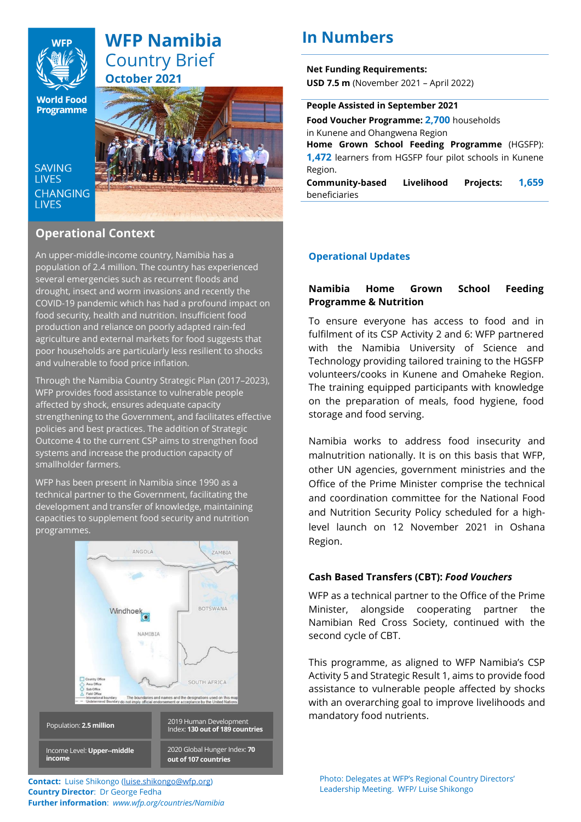

# **WFP Namibia** Country Brief **October 2021**

**World Food Programme** 

**SAVING LIVES CHANGING LIVES** 



## **Operational Context**

An upper-middle-income country, Namibia has a population of 2.4 million. The country has experienced several emergencies such as recurrent floods and drought, insect and worm invasions and recently the COVID-19 pandemic which has had a profound impact on food security, health and nutrition. Insufficient food production and reliance on poorly adapted rain-fed agriculture and external markets for food suggests that poor households are particularly less resilient to shocks and vulnerable to food price inflation.

Through the Namibia Country Strategic Plan (2017–2023), WFP provides food assistance to vulnerable people affected by shock, ensures adequate capacity strengthening to the Government, and facilitates effective policies and best practices. The addition of Strategic Outcome 4 to the current CSP aims to strengthen food systems and increase the production capacity of smallholder farmers.

WFP has been present in Namibia since 1990 as a technical partner to the Government, facilitating the development and transfer of knowledge, maintaining capacities to supplement food security and nutrition programmes.



**Contact:** Luise Shikongo [\(luise.shikongo@wfp.org\)](mailto:luise.shikongo@wfp.org) **Country Director**: Dr George Fedha **Further information**: *www.wfp.org/countries/Namibia*

# **In Numbers**

**Net Funding Requirements: USD 7.5 m** (November 2021 – April 2022)

#### **People Assisted in September 2021**

**Food Voucher Programme: 2,700** households in Kunene and Ohangwena Region

**Home Grown School Feeding Programme** (HGSFP): **1,472** learners from HGSFP four pilot schools in Kunene Region.

**Community-based Livelihood Projects: 1,659** beneficiaries

## **Operational Updates**

## **Namibia Home Grown School Feeding Programme & Nutrition**

To ensure everyone has access to food and in fulfilment of its CSP Activity 2 and 6: WFP partnered with the Namibia University of Science and Technology providing tailored training to the HGSFP volunteers/cooks in Kunene and Omaheke Region. The training equipped participants with knowledge on the preparation of meals, food hygiene, food storage and food serving.

Namibia works to address food insecurity and malnutrition nationally. It is on this basis that WFP, other UN agencies, government ministries and the Office of the Prime Minister comprise the technical and coordination committee for the National Food and Nutrition Security Policy scheduled for a highlevel launch on 12 November 2021 in Oshana Region.

## **Cash Based Transfers (CBT):** *Food Vouchers*

WFP as a technical partner to the Office of the Prime Minister, alongside cooperating partner the Namibian Red Cross Society, continued with the second cycle of CBT.

This programme, as aligned to WFP Namibia's CSP Activity 5 and Strategic Result 1, aims to provide food assistance to vulnerable people affected by shocks with an overarching goal to improve livelihoods and mandatory food nutrients.

Photo: Delegates at WFP's Regional Country Directors' Leadership Meeting. WFP/ Luise Shikongo